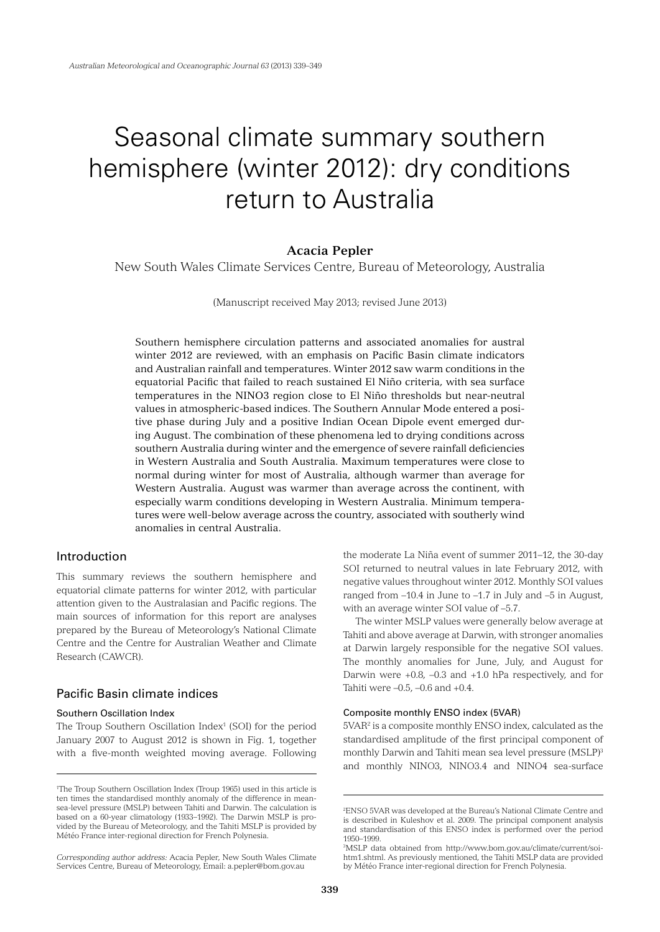# Seasonal climate summary southern hemisphere (winter 2012): dry conditions return to Australia

# **Acacia Pepler**

New South Wales Climate Services Centre, Bureau of Meteorology, Australia

(Manuscript received May 2013; revised June 2013)

Southern hemisphere circulation patterns and associated anomalies for austral winter 2012 are reviewed, with an emphasis on Pacific Basin climate indicators and Australian rainfall and temperatures. Winter 2012 saw warm conditions in the equatorial Pacific that failed to reach sustained El Niño criteria, with sea surface temperatures in the NINO3 region close to El Niño thresholds but near-neutral values in atmospheric-based indices. The Southern Annular Mode entered a positive phase during July and a positive Indian Ocean Dipole event emerged during August. The combination of these phenomena led to drying conditions across southern Australia during winter and the emergence of severe rainfall deficiencies in Western Australia and South Australia. Maximum temperatures were close to normal during winter for most of Australia, although warmer than average for Western Australia. August was warmer than average across the continent, with especially warm conditions developing in Western Australia. Minimum temperatures were well-below average across the country, associated with southerly wind anomalies in central Australia.

# Introduction

This summary reviews the southern hemisphere and equatorial climate patterns for winter 2012, with particular attention given to the Australasian and Pacific regions. The main sources of information for this report are analyses prepared by the Bureau of Meteorology's National Climate Centre and the Centre for Australian Weather and Climate Research (CAWCR).

# Pacific Basin climate indices

### Southern Oscillation Index

The Troup Southern Oscillation Index<sup>1</sup> (SOI) for the period January 2007 to August 2012 is shown in Fig. 1, together with a five-month weighted moving average. Following

the moderate La Niña event of summer 2011–12, the 30-day SOI returned to neutral values in late February 2012, with negative values throughout winter 2012. Monthly SOI values ranged from –10.4 in June to –1.7 in July and –5 in August, with an average winter SOI value of –5.7.

The winter MSLP values were generally below average at Tahiti and above average at Darwin, with stronger anomalies at Darwin largely responsible for the negative SOI values. The monthly anomalies for June, July, and August for Darwin were +0.8, –0.3 and +1.0 hPa respectively, and for Tahiti were  $-0.5$ ,  $-0.6$  and  $+0.4$ .

#### Composite monthly ENSO index (5VAR)

5VAR2 is a composite monthly ENSO index, calculated as the standardised amplitude of the first principal component of monthly Darwin and Tahiti mean sea level pressure (MSLP)<sup>3</sup> and monthly NINO3, NINO3.4 and NINO4 sea-surface

<sup>1</sup> The Troup Southern Oscillation Index (Troup 1965) used in this article is ten times the standardised monthly anomaly of the difference in meansea-level pressure (MSLP) between Tahiti and Darwin. The calculation is based on a 60-year climatology (1933–1992). The Darwin MSLP is provided by the Bureau of Meteorology, and the Tahiti MSLP is provided by Météo France inter-regional direction for French Polynesia.

*Corresponding author address:* Acacia Pepler, New South Wales Climate Services Centre, Bureau of Meteorology, Email: a.pepler@bom.gov.au

<sup>2</sup> ENSO 5VAR was developed at the Bureau's National Climate Centre and is described in Kuleshov et al. 2009. The principal component analysis and standardisation of this ENSO index is performed over the period 1950–1999.

<sup>3</sup> MSLP data obtained from http://www.bom.gov.au/climate/current/soihtm1.shtml. As previously mentioned, the Tahiti MSLP data are provided by Météo France inter-regional direction for French Polynesia.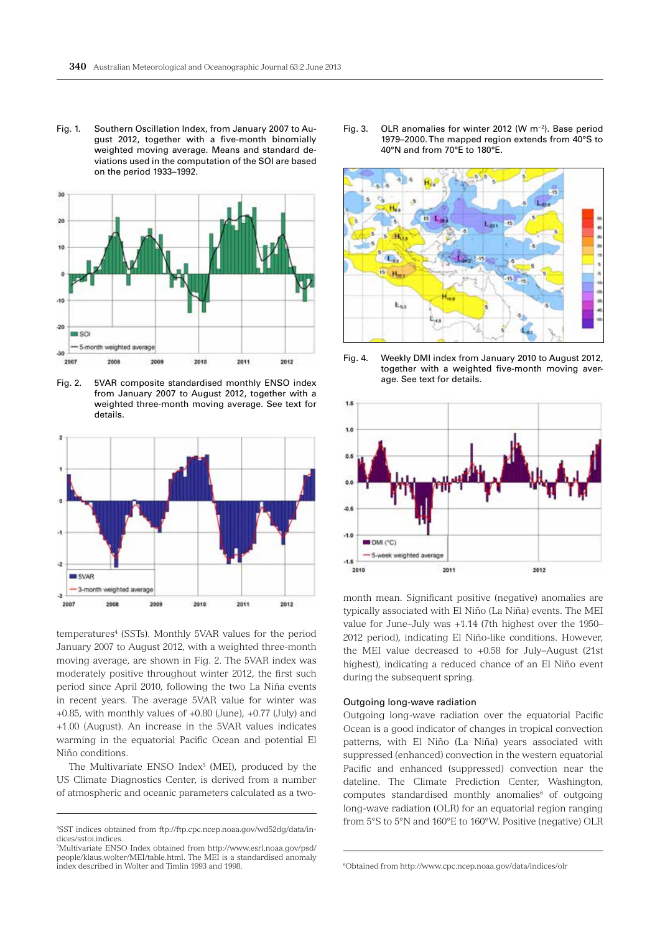Fig. 1. Southern Oscillation Index, from January 2007 to August 2012, together with a five-month binomially weighted moving average. Means and standard deviations used in the computation of the SOI are based on the period 1933–1992.



Fig. 2. 5VAR composite standardised monthly ENSO index from January 2007 to August 2012, together with a weighted three-month moving average. See text for details.



temperatures4 (SSTs). Monthly 5VAR values for the period January 2007 to August 2012, with a weighted three-month moving average, are shown in Fig. 2. The 5VAR index was moderately positive throughout winter 2012, the first such period since April 2010, following the two La Niña events in recent years. The average 5VAR value for winter was  $+0.85$ , with monthly values of  $+0.80$  (June),  $+0.77$  (July) and +1.00 (August). An increase in the 5VAR values indicates warming in the equatorial Pacific Ocean and potential El Niño conditions.

The Multivariate ENSO Index<sup>5</sup> (MEI), produced by the US Climate Diagnostics Center, is derived from a number of atmospheric and oceanic parameters calculated as a twoFig. 3. OLR anomalies for winter 2012 (W m−2). Base period 1979–2000. The mapped region extends from 40°S to 40°N and from 70°E to 180°E.



Fig. 4. Weekly DMI index from January 2010 to August 2012, together with a weighted five-month moving average. See text for details.



month mean. Significant positive (negative) anomalies are typically associated with El Niño (La Niña) events. The MEI value for June–July was +1.14 (7th highest over the 1950– 2012 period), indicating El Niño-like conditions. However, the MEI value decreased to +0.58 for July–August (21st highest), indicating a reduced chance of an El Niño event during the subsequent spring.

## Outgoing long-wave radiation

Outgoing long-wave radiation over the equatorial Pacific Ocean is a good indicator of changes in tropical convection patterns, with El Niño (La Niña) years associated with suppressed (enhanced) convection in the western equatorial Pacific and enhanced (suppressed) convection near the dateline. The Climate Prediction Center, Washington,  $computes$  standardised monthly anomalies $6$  of outgoing long-wave radiation (OLR) for an equatorial region ranging from 5°S to 5°N and 160°E to 160°W. Positive (negative) OLR

<sup>4</sup> SST indices obtained from ftp://ftp.cpc.ncep.noaa.gov/wd52dg/data/indices/sstoi.indices.

<sup>5</sup> Multivariate ENSO Index obtained from http://www.esrl.noaa.gov/psd/ people/klaus.wolter/MEI/table.html. The MEI is a standardised anomaly index described in Wolter and Timlin 1993 and 1998.

<sup>6</sup> Obtained from http://www.cpc.ncep.noaa.gov/data/indices/olr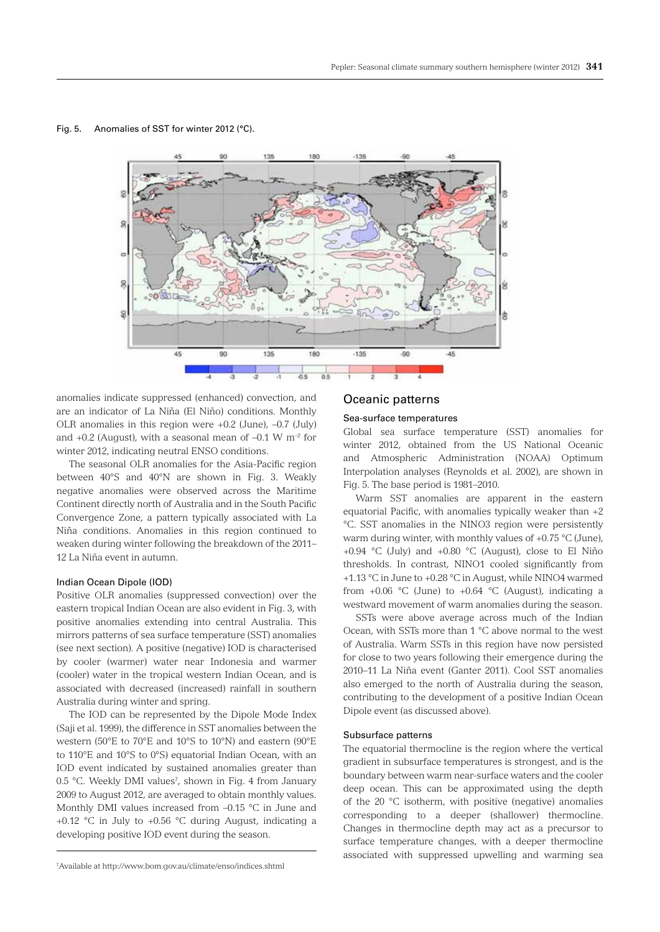

anomalies indicate suppressed (enhanced) convection, and are an indicator of La Niña (El Niño) conditions. Monthly OLR anomalies in this region were +0.2 (June), –0.7 (July) and  $+0.2$  (August), with a seasonal mean of  $-0.1$  W m<sup>-2</sup> for winter 2012, indicating neutral ENSO conditions.

The seasonal OLR anomalies for the Asia-Pacific region between 40°S and 40°N are shown in Fig. 3. Weakly negative anomalies were observed across the Maritime Continent directly north of Australia and in the South Pacific Convergence Zone, a pattern typically associated with La Niña conditions. Anomalies in this region continued to weaken during winter following the breakdown of the 2011– 12 La Niña event in autumn.

## Indian Ocean Dipole (IOD)

Positive OLR anomalies (suppressed convection) over the eastern tropical Indian Ocean are also evident in Fig. 3, with positive anomalies extending into central Australia. This mirrors patterns of sea surface temperature (SST) anomalies (see next section). A positive (negative) IOD is characterised by cooler (warmer) water near Indonesia and warmer (cooler) water in the tropical western Indian Ocean, and is associated with decreased (increased) rainfall in southern Australia during winter and spring.

The IOD can be represented by the Dipole Mode Index (Saji et al. 1999), the difference in SST anomalies between the western (50°E to 70°E and 10°S to 10°N) and eastern (90°E to 110°E and 10°S to 0°S) equatorial Indian Ocean, with an IOD event indicated by sustained anomalies greater than 0.5 °C. Weekly DMI values<sup>7</sup>, shown in Fig. 4 from January 2009 to August 2012, are averaged to obtain monthly values. Monthly DMI values increased from –0.15 °C in June and +0.12 °C in July to +0.56 °C during August, indicating a developing positive IOD event during the season.

## Oceanic patterns

### Sea-surface temperatures

Global sea surface temperature (SST) anomalies for winter 2012, obtained from the US National Oceanic and Atmospheric Administration (NOAA) Optimum Interpolation analyses (Reynolds et al. 2002), are shown in Fig. 5. The base period is 1981–2010.

Warm SST anomalies are apparent in the eastern equatorial Pacific, with anomalies typically weaker than +2 °C. SST anomalies in the NINO3 region were persistently warm during winter, with monthly values of +0.75 °C (June), +0.94 °C (July) and +0.80 °C (August), close to El Niño thresholds. In contrast, NINO1 cooled significantly from +1.13 °C in June to +0.28 °C in August, while NINO4 warmed from  $+0.06$  °C (June) to  $+0.64$  °C (August), indicating a westward movement of warm anomalies during the season.

SSTs were above average across much of the Indian Ocean, with SSTs more than 1 °C above normal to the west of Australia. Warm SSTs in this region have now persisted for close to two years following their emergence during the 2010–11 La Niña event (Ganter 2011). Cool SST anomalies also emerged to the north of Australia during the season, contributing to the development of a positive Indian Ocean Dipole event (as discussed above).

## Subsurface patterns

The equatorial thermocline is the region where the vertical gradient in subsurface temperatures is strongest, and is the boundary between warm near-surface waters and the cooler deep ocean. This can be approximated using the depth of the 20 °C isotherm, with positive (negative) anomalies corresponding to a deeper (shallower) thermocline. Changes in thermocline depth may act as a precursor to surface temperature changes, with a deeper thermocline associated with suppressed upwelling and warming sea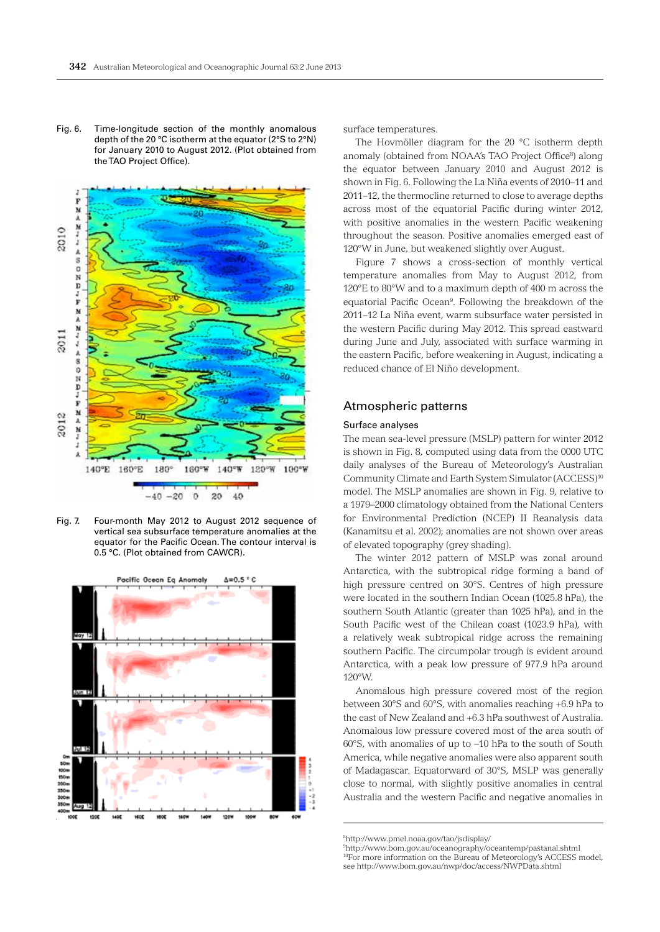Fig. 6. Time-longitude section of the monthly anomalous depth of the 20 °C isotherm at the equator (2°S to 2°N) for January 2010 to August 2012. (Plot obtained from the TAO Project Office).



Fig. 7. Four-month May 2012 to August 2012 sequence of vertical sea subsurface temperature anomalies at the equator for the Pacific Ocean. The contour interval is 0.5 °C. (Plot obtained from CAWCR).



surface temperatures.

The Hovmöller diagram for the 20 °C isotherm depth anomaly (obtained from NOAA's TAO Project Office<sup>8</sup>) along the equator between January 2010 and August 2012 is shown in Fig. 6. Following the La Niña events of 2010–11 and 2011–12, the thermocline returned to close to average depths across most of the equatorial Pacific during winter 2012, with positive anomalies in the western Pacific weakening throughout the season. Positive anomalies emerged east of 120°W in June, but weakened slightly over August.

Figure 7 shows a cross-section of monthly vertical temperature anomalies from May to August 2012, from 120°E to 80°W and to a maximum depth of 400 m across the equatorial Pacific Ocean<sup>9</sup>. Following the breakdown of the 2011–12 La Niña event, warm subsurface water persisted in the western Pacific during May 2012. This spread eastward during June and July, associated with surface warming in the eastern Pacific, before weakening in August, indicating a reduced chance of El Niño development.

# Atmospheric patterns

### Surface analyses

The mean sea-level pressure (MSLP) pattern for winter 2012 is shown in Fig. 8, computed using data from the 0000 UTC daily analyses of the Bureau of Meteorology's Australian Community Climate and Earth System Simulator (ACCESS)10 model. The MSLP anomalies are shown in Fig. 9, relative to a 1979–2000 climatology obtained from the National Centers for Environmental Prediction (NCEP) II Reanalysis data (Kanamitsu et al. 2002); anomalies are not shown over areas of elevated topography (grey shading).

The winter 2012 pattern of MSLP was zonal around Antarctica, with the subtropical ridge forming a band of high pressure centred on 30°S. Centres of high pressure were located in the southern Indian Ocean (1025.8 hPa), the southern South Atlantic (greater than 1025 hPa), and in the South Pacific west of the Chilean coast (1023.9 hPa), with a relatively weak subtropical ridge across the remaining southern Pacific. The circumpolar trough is evident around Antarctica, with a peak low pressure of 977.9 hPa around 120°W.

Anomalous high pressure covered most of the region between 30°S and 60°S, with anomalies reaching +6.9 hPa to the east of New Zealand and +6.3 hPa southwest of Australia. Anomalous low pressure covered most of the area south of 60°S, with anomalies of up to –10 hPa to the south of South America, while negative anomalies were also apparent south of Madagascar. Equatorward of 30°S, MSLP was generally close to normal, with slightly positive anomalies in central Australia and the western Pacific and negative anomalies in

<sup>8</sup> http://www.pmel.noaa.gov/tao/jsdisplay/

<sup>9</sup> http://www.bom.gov.au/oceanography/oceantemp/pastanal.shtml <sup>10</sup>For more information on the Bureau of Meteorology's ACCESS model, see http://www.bom.gov.au/nwp/doc/access/NWPData.shtml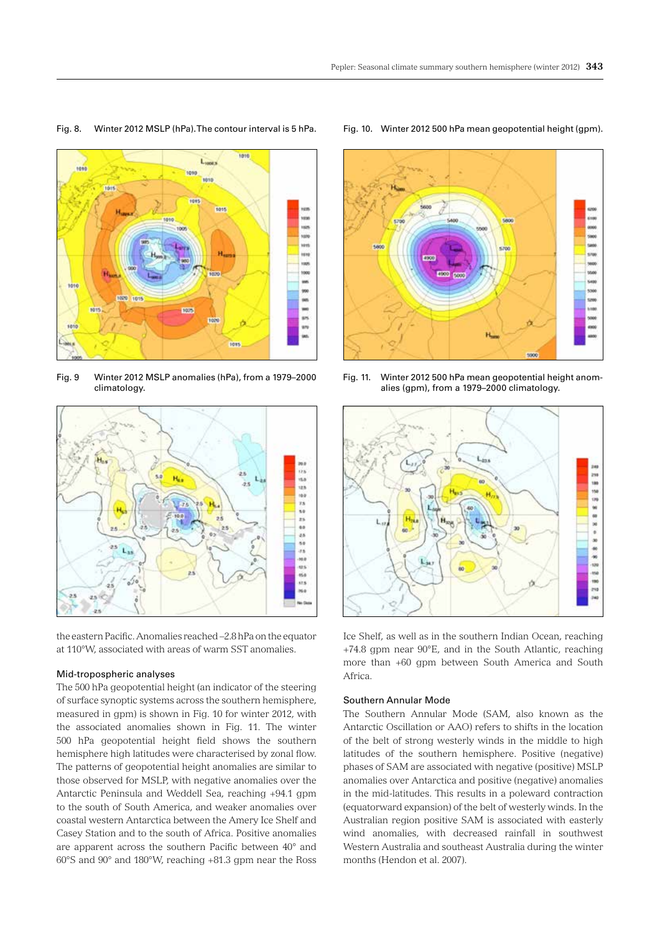# Fig. 8. Winter 2012 MSLP (hPa). The contour interval is 5 hPa.



Fig. 9 Winter 2012 MSLP anomalies (hPa), from a 1979–2000 climatology.



the eastern Pacific. Anomalies reached –2.8 hPa on the equator at 110°W, associated with areas of warm SST anomalies.

# Mid-tropospheric analyses

The 500 hPa geopotential height (an indicator of the steering of surface synoptic systems across the southern hemisphere, measured in gpm) is shown in Fig. 10 for winter 2012, with the associated anomalies shown in Fig. 11. The winter 500 hPa geopotential height field shows the southern hemisphere high latitudes were characterised by zonal flow. The patterns of geopotential height anomalies are similar to those observed for MSLP, with negative anomalies over the Antarctic Peninsula and Weddell Sea, reaching +94.1 gpm to the south of South America, and weaker anomalies over coastal western Antarctica between the Amery Ice Shelf and Casey Station and to the south of Africa. Positive anomalies are apparent across the southern Pacific between 40° and 60°S and 90° and 180°W, reaching +81.3 gpm near the Ross

#### Fig. 10. Winter 2012 500 hPa mean geopotential height (gpm).



Fig. 11. Winter 2012 500 hPa mean geopotential height anomalies (gpm), from a 1979–2000 climatology.



Ice Shelf, as well as in the southern Indian Ocean, reaching +74.8 gpm near 90°E, and in the South Atlantic, reaching more than +60 gpm between South America and South Africa.

# Southern Annular Mode

The Southern Annular Mode (SAM, also known as the Antarctic Oscillation or AAO) refers to shifts in the location of the belt of strong westerly winds in the middle to high latitudes of the southern hemisphere. Positive (negative) phases of SAM are associated with negative (positive) MSLP anomalies over Antarctica and positive (negative) anomalies in the mid-latitudes. This results in a poleward contraction (equatorward expansion) of the belt of westerly winds. In the Australian region positive SAM is associated with easterly wind anomalies, with decreased rainfall in southwest Western Australia and southeast Australia during the winter months (Hendon et al. 2007).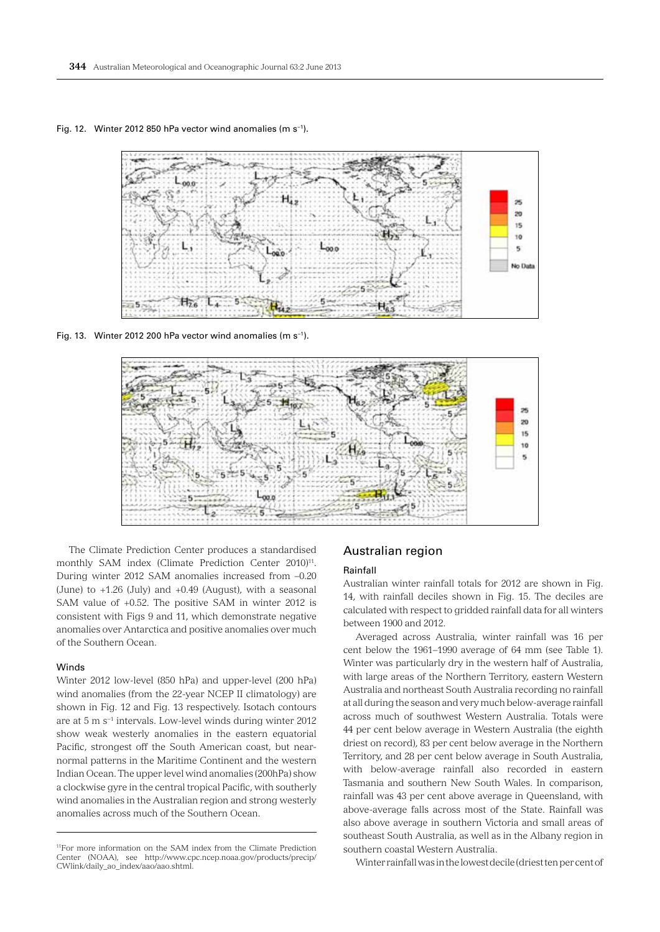



Fig. 13. Winter 2012 200 hPa vector wind anomalies (m s−1).



The Climate Prediction Center produces a standardised monthly SAM index (Climate Prediction Center 2010)<sup>11</sup>. During winter 2012 SAM anomalies increased from –0.20 (June) to +1.26 (July) and +0.49 (August), with a seasonal SAM value of +0.52. The positive SAM in winter 2012 is consistent with Figs 9 and 11, which demonstrate negative anomalies over Antarctica and positive anomalies over much of the Southern Ocean.

#### Winds

Winter 2012 low-level (850 hPa) and upper-level (200 hPa) wind anomalies (from the 22-year NCEP II climatology) are shown in Fig. 12 and Fig. 13 respectively. Isotach contours are at 5 m s−1 intervals. Low-level winds during winter 2012 show weak westerly anomalies in the eastern equatorial Pacific, strongest off the South American coast, but nearnormal patterns in the Maritime Continent and the western Indian Ocean. The upper level wind anomalies (200hPa) show a clockwise gyre in the central tropical Pacific, with southerly wind anomalies in the Australian region and strong westerly anomalies across much of the Southern Ocean.

# Australian region

## Rainfall

Australian winter rainfall totals for 2012 are shown in Fig. 14, with rainfall deciles shown in Fig. 15. The deciles are calculated with respect to gridded rainfall data for all winters between 1900 and 2012.

Averaged across Australia, winter rainfall was 16 per cent below the 1961–1990 average of 64 mm (see Table 1). Winter was particularly dry in the western half of Australia, with large areas of the Northern Territory, eastern Western Australia and northeast South Australia recording no rainfall at all during the season and very much below-average rainfall across much of southwest Western Australia. Totals were 44 per cent below average in Western Australia (the eighth driest on record), 83 per cent below average in the Northern Territory, and 28 per cent below average in South Australia, with below-average rainfall also recorded in eastern Tasmania and southern New South Wales. In comparison, rainfall was 43 per cent above average in Queensland, with above-average falls across most of the State. Rainfall was also above average in southern Victoria and small areas of southeast South Australia, as well as in the Albany region in southern coastal Western Australia.

Winter rainfall was in the lowest decile (driest ten per cent of

<sup>11</sup>For more information on the SAM index from the Climate Prediction Center (NOAA), see http://www.cpc.ncep.noaa.gov/products/precip/ CWlink/daily\_ao\_index/aao/aao.shtml.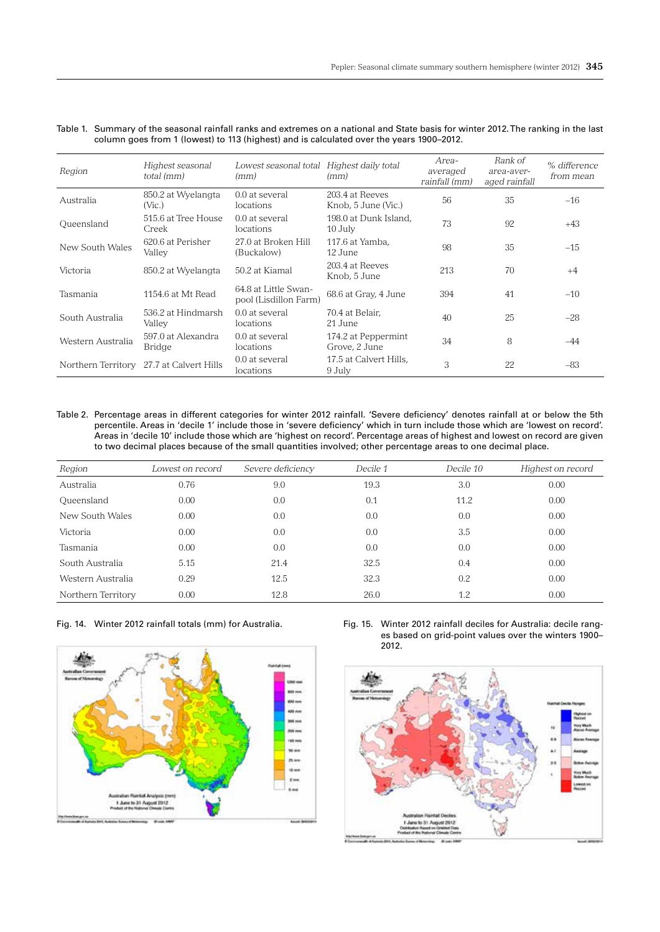| Table 1. Summary of the seasonal rainfall ranks and extremes on a national and State basis for winter 2012. The ranking in the last |
|-------------------------------------------------------------------------------------------------------------------------------------|
| column goes from 1 (lowest) to 113 (highest) and is calculated over the years 1900-2012.                                            |

| Region             | Highest seasonal<br>total (mm) | Lowest seasonal total<br>(mm)                 | Highest daily total<br>(mm)            | Area-<br>averaged<br>rainfall (mm) | Rank of<br>area-aver-<br>aged rainfall | % difference<br>from mean |
|--------------------|--------------------------------|-----------------------------------------------|----------------------------------------|------------------------------------|----------------------------------------|---------------------------|
| Australia          | 850.2 at Wyelangta<br>(Vic.)   | 0.0 at several<br>locations                   | 203.4 at Reeves<br>Knob, 5 June (Vic.) | 56                                 | 35                                     | $-16$                     |
| Queensland         | 515.6 at Tree House<br>Creek   | $0.0$ at several<br>locations                 | 198.0 at Dunk Island.<br>10 July       | 73                                 | 92                                     | $+43$                     |
| New South Wales    | 620.6 at Perisher<br>Valley    | 27.0 at Broken Hill<br>(Buckalow)             | 117.6 at Yamba,<br>12 June             | 98                                 | 35                                     | $-15$                     |
| Victoria           | 850.2 at Wyelangta             | 50.2 at Kiamal                                | 203.4 at Reeves<br>Knob, 5 June        | 213                                | 70                                     | $+4$                      |
| Tasmania           | 1154.6 at Mt Read              | 64.8 at Little Swan-<br>pool (Lisdillon Farm) | 68.6 at Gray, 4 June                   | 394                                | 41                                     | $-10$                     |
| South Australia    | 536.2 at Hindmarsh<br>Valley   | $0.0$ at several<br>locations                 | 70.4 at Belair.<br>21 June             | 40                                 | 25                                     | $-28$                     |
| Western Australia  | 597.0 at Alexandra<br>Bridge   | 0.0 at several<br>locations                   | 174.2 at Peppermint<br>Grove, 2 June   | 34                                 | 8                                      | $-44$                     |
| Northern Territory | 27.7 at Calvert Hills          | 0.0 at several<br>locations                   | 17.5 at Calvert Hills,<br>9 July       | 3                                  | 22                                     | $-83$                     |

Table 2. Percentage areas in different categories for winter 2012 rainfall. 'Severe deficiency' denotes rainfall at or below the 5th percentile. Areas in 'decile 1' include those in 'severe deficiency' which in turn include those which are 'lowest on record'. Areas in 'decile 10' include those which are 'highest on record'. Percentage areas of highest and lowest on record are given to two decimal places because of the small quantities involved; other percentage areas to one decimal place.

| Region             | Lowest on record | Severe deficiency | Decile 1 | Decile 10 | Highest on record |
|--------------------|------------------|-------------------|----------|-----------|-------------------|
| Australia          | 0.76             | 9.0               | 19.3     | 3.0       | 0.00              |
| Queensland         | 0.00             | 0.0               | 0.1      | 11.2      | 0.00              |
| New South Wales    | 0.00             | 0.0               | 0.0      | 0.0       | 0.00              |
| Victoria           | 0.00             | 0.0               | 0.0      | 3.5       | 0.00              |
| Tasmania           | 0.00             | 0.0               | 0.0      | 0.0       | 0.00              |
| South Australia    | 5.15             | 21.4              | 32.5     | 0.4       | 0.00              |
| Western Australia  | 0.29             | 12.5              | 32.3     | 0.2       | 0.00              |
| Northern Territory | 0.00             | 12.8              | 26.0     | 1.2       | 0.00              |



Fig. 14. Winter 2012 rainfall totals (mm) for Australia. Fig. 15. Winter 2012 rainfall deciles for Australia: decile ranges based on grid-point values over the winters 1900– 2012.

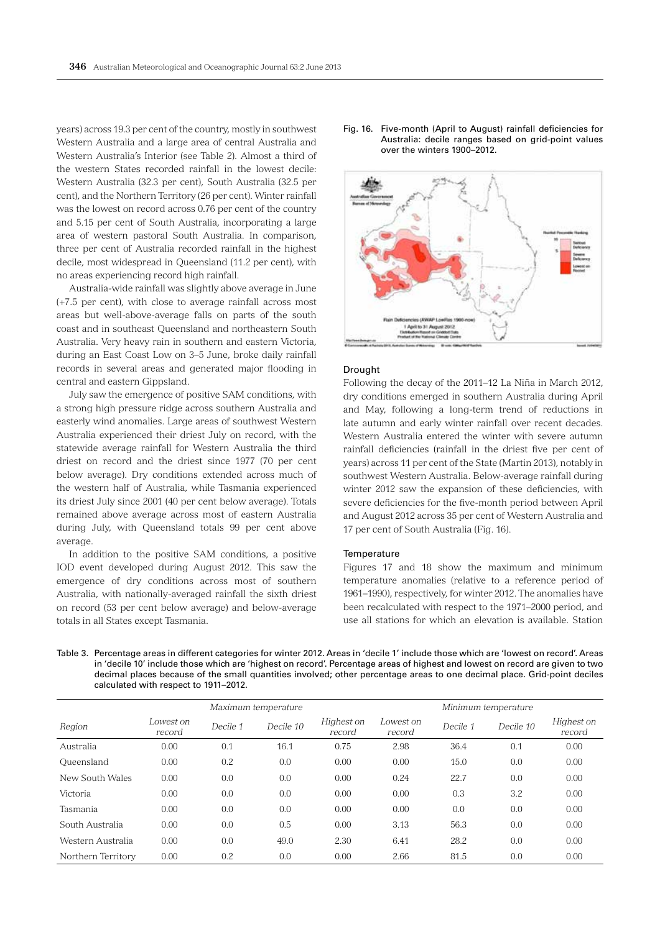years) across 19.3 per cent of the country, mostly in southwest Western Australia and a large area of central Australia and Western Australia's Interior (see Table 2). Almost a third of the western States recorded rainfall in the lowest decile: Western Australia (32.3 per cent), South Australia (32.5 per cent), and the Northern Territory (26 per cent). Winter rainfall was the lowest on record across 0.76 per cent of the country and 5.15 per cent of South Australia, incorporating a large area of western pastoral South Australia. In comparison, three per cent of Australia recorded rainfall in the highest decile, most widespread in Queensland (11.2 per cent), with no areas experiencing record high rainfall.

Australia-wide rainfall was slightly above average in June (+7.5 per cent), with close to average rainfall across most areas but well-above-average falls on parts of the south coast and in southeast Queensland and northeastern South Australia. Very heavy rain in southern and eastern Victoria, during an East Coast Low on 3–5 June, broke daily rainfall records in several areas and generated major flooding in central and eastern Gippsland.

July saw the emergence of positive SAM conditions, with a strong high pressure ridge across southern Australia and easterly wind anomalies. Large areas of southwest Western Australia experienced their driest July on record, with the statewide average rainfall for Western Australia the third driest on record and the driest since 1977 (70 per cent below average). Dry conditions extended across much of the western half of Australia, while Tasmania experienced its driest July since 2001 (40 per cent below average). Totals remained above average across most of eastern Australia during July, with Queensland totals 99 per cent above average.

In addition to the positive SAM conditions, a positive IOD event developed during August 2012. This saw the emergence of dry conditions across most of southern Australia, with nationally-averaged rainfall the sixth driest on record (53 per cent below average) and below-average totals in all States except Tasmania.

Fig. 16. Five-month (April to August) rainfall deficiencies for Australia: decile ranges based on grid-point values over the winters 1900–2012.



# **Drought**

Following the decay of the 2011–12 La Niña in March 2012, dry conditions emerged in southern Australia during April and May, following a long-term trend of reductions in late autumn and early winter rainfall over recent decades. Western Australia entered the winter with severe autumn rainfall deficiencies (rainfall in the driest five per cent of years) across 11 per cent of the State (Martin 2013), notably in southwest Western Australia. Below-average rainfall during winter 2012 saw the expansion of these deficiencies, with severe deficiencies for the five-month period between April and August 2012 across 35 per cent of Western Australia and 17 per cent of South Australia (Fig. 16).

#### **Temperature**

Figures 17 and 18 show the maximum and minimum temperature anomalies (relative to a reference period of 1961–1990), respectively, for winter 2012. The anomalies have been recalculated with respect to the 1971–2000 period, and use all stations for which an elevation is available. Station

Table 3. Percentage areas in different categories for winter 2012. Areas in 'decile 1' include those which are 'lowest on record'. Areas in 'decile 10' include those which are 'highest on record'. Percentage areas of highest and lowest on record are given to two decimal places because of the small quantities involved; other percentage areas to one decimal place. Grid-point deciles calculated with respect to 1911–2012.

|                    | Maximum temperature |          |           |                      | Minimum temperature |          |           |                      |
|--------------------|---------------------|----------|-----------|----------------------|---------------------|----------|-----------|----------------------|
| Region             | Lowest on<br>record | Decile 1 | Decile 10 | Highest on<br>record | Lowest on<br>record | Decile 1 | Decile 10 | Highest on<br>record |
| Australia          | 0.00                | 0.1      | 16.1      | 0.75                 | 2.98                | 36.4     | 0.1       | 0.00                 |
| Oueensland         | 0.00                | 0.2      | 0.0       | 0.00                 | 0.00                | 15.0     | 0.0       | 0.00                 |
| New South Wales    | 0.00                | 0.0      | 0.0       | 0.00                 | 0.24                | 22.7     | 0.0       | 0.00                 |
| Victoria           | 0.00                | 0.0      | 0.0       | 0.00                 | 0.00                | 0.3      | 3.2       | 0.00                 |
| Tasmania           | 0.00                | 0.0      | 0.0       | 0.00                 | 0.00                | 0.0      | 0.0       | 0.00                 |
| South Australia    | 0.00                | 0.0      | 0.5       | 0.00                 | 3.13                | 56.3     | 0.0       | 0.00                 |
| Western Australia  | 0.00                | 0.0      | 49.0      | 2.30                 | 6.41                | 28.2     | 0.0       | 0.00                 |
| Northern Territory | 0.00                | 0.2      | 0.0       | 0.00                 | 2.66                | 81.5     | 0.0       | 0.00                 |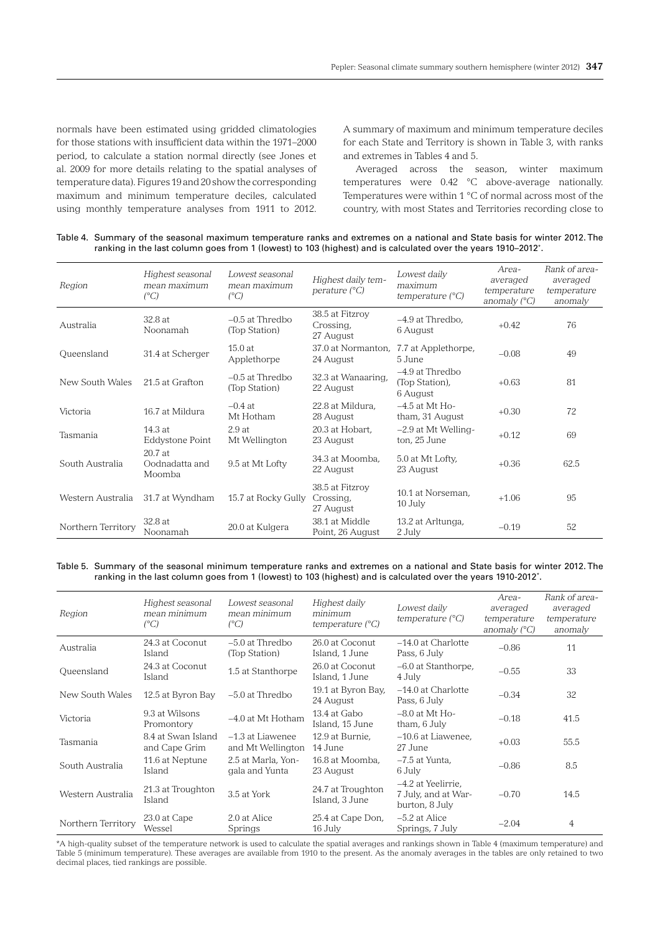normals have been estimated using gridded climatologies for those stations with insufficient data within the 1971–2000 period, to calculate a station normal directly (see Jones et al. 2009 for more details relating to the spatial analyses of temperature data). Figures 19 and 20 show the corresponding maximum and minimum temperature deciles, calculated using monthly temperature analyses from 1911 to 2012.

A summary of maximum and minimum temperature deciles for each State and Territory is shown in Table 3, with ranks and extremes in Tables 4 and 5.

Averaged across the season, winter maximum temperatures were 0.42 °C above-average nationally. Temperatures were within 1 °C of normal across most of the country, with most States and Territories recording close to

| Table 4. Summary of the seasonal maximum temperature ranks and extremes on a national and State basis for winter 2012. The |
|----------------------------------------------------------------------------------------------------------------------------|
| ranking in the last column goes from 1 (lowest) to 103 (highest) and is calculated over the years 1910–2012'.              |

| Region             | Highest seasonal<br>mean maximum<br>$(^{\circ}C)$ | Lowest seasonal<br>mean maximum<br>$(^{\circ}C)$ | Highest daily tem-<br>perature $(^{\circ}C)$ | Lowest daily<br>maximum<br>temperature $(^{\circ}C)$ | Area-<br>averaged<br>temperature<br>anomaly $(^{\circ}C)$ | Rank of area-<br>averaged<br>temperature<br>anomaly |
|--------------------|---------------------------------------------------|--------------------------------------------------|----------------------------------------------|------------------------------------------------------|-----------------------------------------------------------|-----------------------------------------------------|
| Australia          | 32.8 at<br>Noonamah                               | $-0.5$ at Thredbo<br>(Top Station)               | 38.5 at Fitzroy<br>Crossing,<br>27 August    | $-4.9$ at Thredbo,<br>6 August                       | $+0.42$                                                   | 76                                                  |
| Queensland         | 31.4 at Scherger                                  | 15.0at<br>Applethorpe                            | 37.0 at Normanton.<br>24 August              | 7.7 at Applethorpe,<br>5 June                        | $-0.08$                                                   | 49                                                  |
| New South Wales    | 21.5 at Grafton                                   | $-0.5$ at Thredbo<br>(Top Station)               | 32.3 at Wanaaring,<br>22 August              | -4.9 at Thredbo<br>(Top Station),<br>6 August        | $+0.63$                                                   | 81                                                  |
| Victoria           | 16.7 at Mildura                                   | $-0.4$ at<br>Mt Hotham                           | 22.8 at Mildura.<br>28 August                | $-4.5$ at Mt H <sub>O</sub> -<br>tham, 31 August     | $+0.30$                                                   | 72                                                  |
| Tasmania           | 14.3at<br>Eddystone Point                         | 2.9at<br>Mt Wellington                           | 20.3 at Hobart.<br>23 August                 | -2.9 at Mt Welling-<br>ton, 25 June                  | $+0.12$                                                   | 69                                                  |
| South Australia    | 20.7 at<br>Oodnadatta and<br>Moomba               | 9.5 at Mt Lofty                                  | 34.3 at Moomba.<br>22 August                 | 5.0 at Mt Lofty,<br>23 August                        | $+0.36$                                                   | 62.5                                                |
| Western Australia  | 31.7 at Wyndham                                   | 15.7 at Rocky Gully                              | 38.5 at Fitzrov<br>Crossing,<br>27 August    | 10.1 at Norseman.<br>10 July                         | $+1.06$                                                   | 95                                                  |
| Northern Territory | 32.8 at<br>Noonamah                               | 20.0 at Kulgera                                  | 38.1 at Middle<br>Point, 26 August           | 13.2 at Arltunga,<br>2 July                          | $-0.19$                                                   | 52                                                  |

# Table 5. Summary of the seasonal minimum temperature ranks and extremes on a national and State basis for winter 2012. The ranking in the last column goes from 1 (lowest) to 103 (highest) and is calculated over the years 1910-2012\* .

| Region             | Highest seasonal<br>mean minimum<br>$(^{\circ}C)$ | Lowest seasonal<br>mean minimum<br>$(^{\circ}C)$ | Highest daily<br>minimum<br>temperature $(^{\circ}C)$ | Lowest daily<br>temperature $(^{\circ}C)$                   | Area-<br>averaged<br>temperature<br>anomaly $(^{\circ}C)$ | Rank of area-<br>averaged<br>temperature<br>anomaly |
|--------------------|---------------------------------------------------|--------------------------------------------------|-------------------------------------------------------|-------------------------------------------------------------|-----------------------------------------------------------|-----------------------------------------------------|
| Australia          | 24.3 at Coconut<br>Island                         | $-5.0$ at Thredbo<br>(Top Station)               | 26.0 at Coconut<br>Island, 1 June                     | $-14.0$ at Charlotte<br>Pass, 6 July                        | $-0.86$                                                   | 11                                                  |
| Queensland         | 24.3 at Coconut<br>Island                         | 1.5 at Stanthorpe                                | 26.0 at Coconut<br>Island, 1 June                     | -6.0 at Stanthorpe,<br>4 July                               | $-0.55$                                                   | 33                                                  |
| New South Wales    | 12.5 at Byron Bay                                 | $-5.0$ at Thredbo                                | 19.1 at Byron Bay,<br>24 August                       | $-14.0$ at Charlotte<br>Pass, 6 July                        | $-0.34$                                                   | 32                                                  |
| Victoria           | 9.3 at Wilsons<br>Promontory                      | -4.0 at Mt Hotham                                | 13.4 at Gabo<br>Island, 15 June                       | $-8.0$ at Mt Ho-<br>tham, 6 July                            | $-0.18$                                                   | 41.5                                                |
| Tasmania           | 8.4 at Swan Island<br>and Cape Grim               | $-1.3$ at Liawenee<br>and Mt Wellington          | 12.9 at Burnie.<br>14 June                            | -10.6 at Liawenee.<br>27 June                               | $+0.03$                                                   | 55.5                                                |
| South Australia    | 11.6 at Neptune<br>Island                         | 2.5 at Marla, Yon-<br>gala and Yunta             | 16.8 at Moomba.<br>23 August                          | $-7.5$ at Yunta.<br>6 July                                  | $-0.86$                                                   | 8.5                                                 |
| Western Australia  | 21.3 at Troughton<br>Island                       | 3.5 at York                                      | 24.7 at Troughton<br>Island, 3 June                   | -4.2 at Yeelirrie,<br>7 July, and at War-<br>burton, 8 July | $-0.70$                                                   | 14.5                                                |
| Northern Territory | 23.0 at Cape<br>Wessel                            | 2.0 at Alice<br>Springs                          | 25.4 at Cape Don,<br>16 July                          | -5.2 at Alice<br>Springs, 7 July                            | $-2.04$                                                   | $\overline{4}$                                      |

\*A high-quality subset of the temperature network is used to calculate the spatial averages and rankings shown in Table 4 (maximum temperature) and Table 5 (minimum temperature). These averages are available from 1910 to the present. As the anomaly averages in the tables are only retained to two decimal places, tied rankings are possible.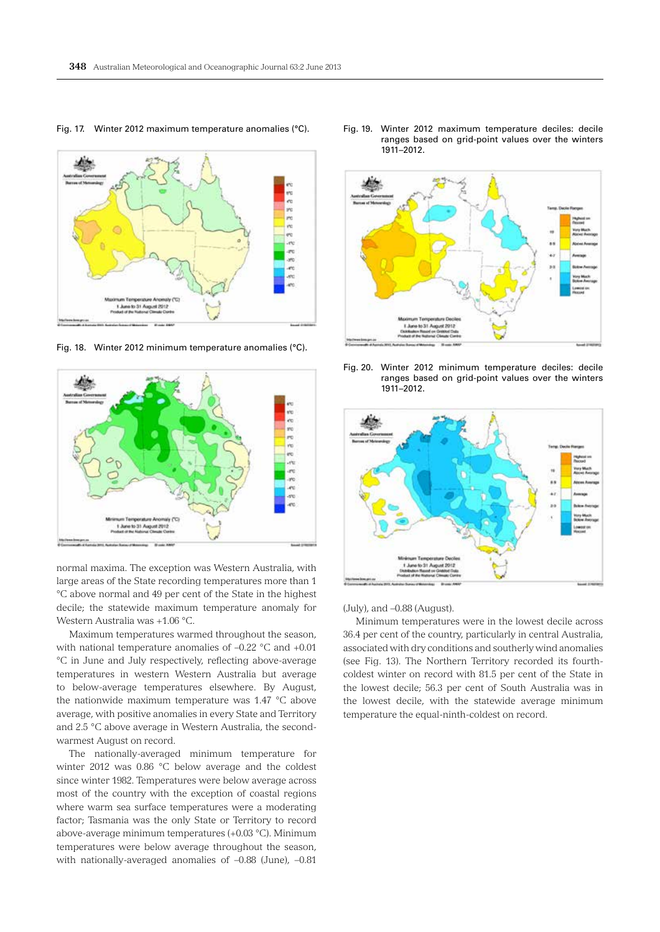

Fig. 17. Winter 2012 maximum temperature anomalies (°C).

Fig. 18. Winter 2012 minimum temperature anomalies (°C).



normal maxima. The exception was Western Australia, with large areas of the State recording temperatures more than 1 °C above normal and 49 per cent of the State in the highest decile; the statewide maximum temperature anomaly for Western Australia was +1.06 °C.

Maximum temperatures warmed throughout the season, with national temperature anomalies of –0.22 °C and +0.01 °C in June and July respectively, reflecting above-average temperatures in western Western Australia but average to below-average temperatures elsewhere. By August, the nationwide maximum temperature was 1.47 °C above average, with positive anomalies in every State and Territory and 2.5 °C above average in Western Australia, the secondwarmest August on record.

The nationally-averaged minimum temperature for winter 2012 was 0.86 °C below average and the coldest since winter 1982. Temperatures were below average across most of the country with the exception of coastal regions where warm sea surface temperatures were a moderating factor; Tasmania was the only State or Territory to record above-average minimum temperatures (+0.03 °C). Minimum temperatures were below average throughout the season, with nationally-averaged anomalies of –0.88 (June), –0.81

Fig. 19. Winter 2012 maximum temperature deciles: decile ranges based on grid-point values over the winters 1911–2012.



Fig. 20. Winter 2012 minimum temperature deciles: decile ranges based on grid-point values over the winters 1911–2012.



(July), and –0.88 (August).

Minimum temperatures were in the lowest decile across 36.4 per cent of the country, particularly in central Australia, associated with dry conditions and southerly wind anomalies (see Fig. 13). The Northern Territory recorded its fourthcoldest winter on record with 81.5 per cent of the State in the lowest decile; 56.3 per cent of South Australia was in the lowest decile, with the statewide average minimum temperature the equal-ninth-coldest on record.